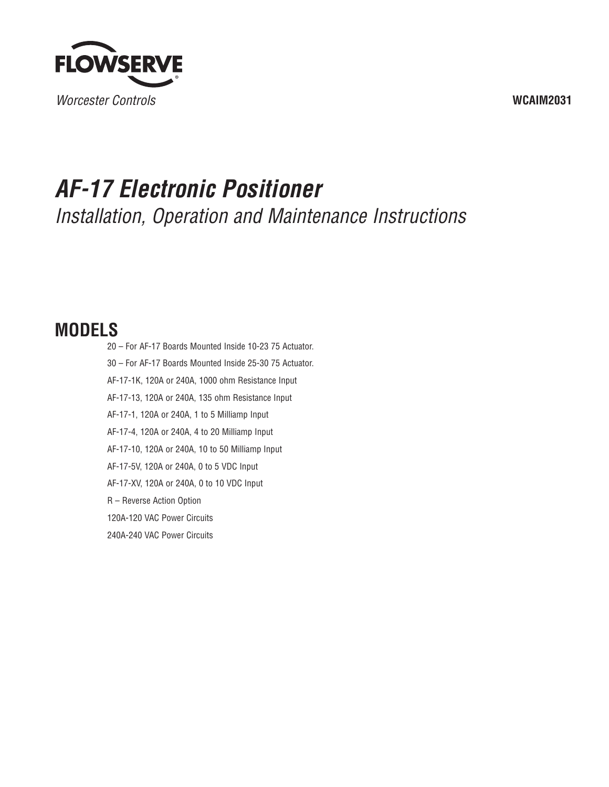

## **WCAIM2031**

# *AF-17 Electronic Positioner*

*Installation, Operation and Maintenance Instructions*

## **MODELS**

20 – For AF-17 Boards Mounted Inside 10-23 75 Actuator. 30 – For AF-17 Boards Mounted Inside 25-30 75 Actuator. AF-17-1K, 120A or 240A, 1000 ohm Resistance Input AF-17-13, 120A or 240A, 135 ohm Resistance Input AF-17-1, 120A or 240A, 1 to 5 Milliamp Input AF-17-4, 120A or 240A, 4 to 20 Milliamp Input AF-17-10, 120A or 240A, 10 to 50 Milliamp Input AF-17-5V, 120A or 240A, 0 to 5 VDC Input AF-17-XV, 120A or 240A, 0 to 10 VDC Input R – Reverse Action Option 120A-120 VAC Power Circuits 240A-240 VAC Power Circuits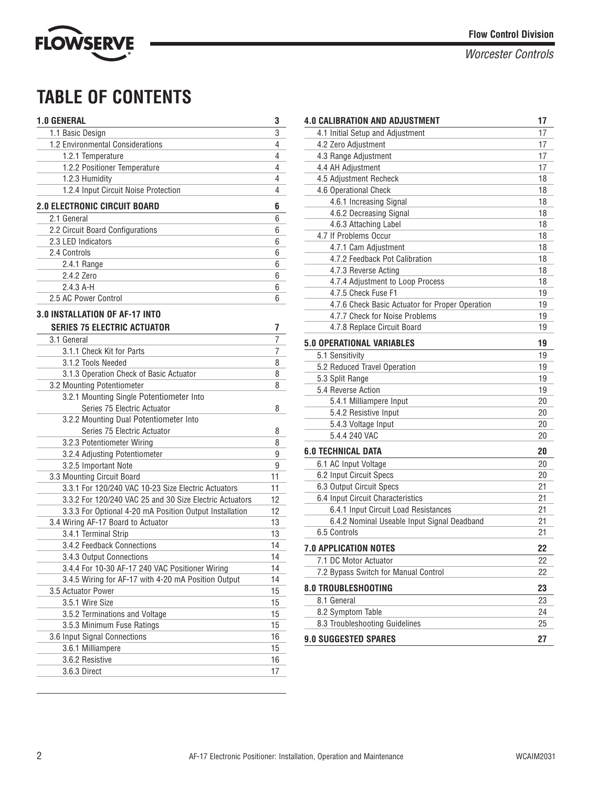

## **TABLE OF CONTENTS**

| <b>1.0 GENERAL</b>                                                    | 3  |
|-----------------------------------------------------------------------|----|
| 1.1 Basic Design                                                      | 3  |
| 1.2 Environmental Considerations                                      | 4  |
| 1.2.1 Temperature                                                     | 4  |
| 1.2.2 Positioner Temperature                                          | 4  |
| 1.2.3 Humidity                                                        | 4  |
| 1.2.4 Input Circuit Noise Protection                                  | 4  |
| <b>2.0 ELECTRONIC CIRCUIT BOARD</b>                                   | 6  |
| 2.1 General                                                           | 6  |
| 2.2 Circuit Board Configurations                                      | 6  |
| 2.3 LED Indicators                                                    | 6  |
| 2.4 Controls                                                          | 6  |
| 2.4.1 Range                                                           | 6  |
| 2.4.2 Zero                                                            | 6  |
| $2.4.3$ A-H                                                           | 6  |
| 2.5 AC Power Control                                                  | 6  |
| 3.0 INSTALLATION OF AF-17 INTO                                        |    |
| <b>SERIES 75 ELECTRIC ACTUATOR</b>                                    | 7  |
|                                                                       |    |
| 3.1 General                                                           | 7  |
| 3.1.1 Check Kit for Parts<br>3.1.2 Tools Needed                       | 7  |
|                                                                       | 8  |
| 3.1.3 Operation Check of Basic Actuator<br>3.2 Mounting Potentiometer | 8  |
| 3.2.1 Mounting Single Potentiometer Into                              | 8  |
| Series 75 Electric Actuator                                           |    |
| 3.2.2 Mounting Dual Potentiometer Into                                | 8  |
| Series 75 Electric Actuator                                           | 8  |
| 3.2.3 Potentiometer Wiring                                            | 8  |
| 3.2.4 Adjusting Potentiometer                                         | 9  |
| 3.2.5 Important Note                                                  | 9  |
| 3.3 Mounting Circuit Board                                            | 11 |
| 3.3.1 For 120/240 VAC 10-23 Size Electric Actuators                   | 11 |
| 3.3.2 For 120/240 VAC 25 and 30 Size Electric Actuators               | 12 |
| 3.3.3 For Optional 4-20 mA Position Output Installation               | 12 |
| 3.4 Wiring AF-17 Board to Actuator                                    | 13 |
| 3.4.1 Terminal Strip                                                  | 13 |
| 3.4.2 Feedback Connections                                            | 14 |
| 3.4.3 Output Connections                                              | 14 |
| 3.4.4 For 10-30 AF-17 240 VAC Positioner Wiring                       | 14 |
| 3.4.5 Wiring for AF-17 with 4-20 mA Position Output                   | 14 |
| 3.5 Actuator Power                                                    | 15 |
| 3.5.1 Wire Size                                                       | 15 |
| 3.5.2 Terminations and Voltage                                        | 15 |
| 3.5.3 Minimum Fuse Ratings                                            | 15 |
| 3.6 Input Signal Connections                                          | 16 |
| 3.6.1 Milliampere                                                     | 15 |
| 3.6.2 Resistive                                                       | 16 |
| 3.6.3 Direct                                                          | 17 |
|                                                                       |    |

| <b>4.0 CALIBRATION AND ADJUSTMENT</b>           | 17 |
|-------------------------------------------------|----|
| 4.1 Initial Setup and Adjustment                | 17 |
| 4.2 Zero Adjustment                             | 17 |
| 4.3 Range Adjustment                            | 17 |
| 4.4 AH Adjustment                               | 17 |
| 4.5 Adjustment Recheck                          | 18 |
| 4.6 Operational Check                           | 18 |
| 4.6.1 Increasing Signal                         | 18 |
| 4.6.2 Decreasing Signal                         | 18 |
| 4.6.3 Attaching Label                           | 18 |
| 4.7 If Problems Occur                           | 18 |
| 4.7.1 Cam Adjustment                            | 18 |
| 4.7.2 Feedback Pot Calibration                  | 18 |
| 4.7.3 Reverse Acting                            | 18 |
| 4.7.4 Adjustment to Loop Process                | 18 |
| 4.7.5 Check Fuse F1                             | 19 |
| 4.7.6 Check Basic Actuator for Proper Operation | 19 |
| 4.7.7 Check for Noise Problems                  | 19 |
| 4.7.8 Replace Circuit Board                     | 19 |
| <b>5.0 OPERATIONAL VARIABLES</b>                | 19 |
| 5.1 Sensitivity                                 | 19 |
| 5.2 Reduced Travel Operation                    | 19 |
| 5.3 Split Range                                 | 19 |
| 5.4 Reverse Action                              | 19 |
| 5.4.1 Milliampere Input                         | 20 |
| 5.4.2 Resistive Input                           | 20 |
| 5.4.3 Voltage Input                             | 20 |
| 5.4.4 240 VAC                                   | 20 |
| <b>6.0 TECHNICAL DATA</b>                       | 20 |
| 6.1 AC Input Voltage                            | 20 |
| 6.2 Input Circuit Specs                         | 20 |
| 6.3 Output Circuit Specs                        | 21 |
| 6.4 Input Circuit Characteristics               | 21 |
| 6.4.1 Input Circuit Load Resistances            | 21 |
| 6.4.2 Nominal Useable Input Signal Deadband     | 21 |
| 6.5 Controls                                    | 21 |
| <b>7.0 APPLICATION NOTES</b>                    | 22 |
| 7.1 DC Motor Actuator                           | 22 |
| 7.2 Bypass Switch for Manual Control            | 22 |
| 8.0 TROUBLESHOOTING                             | 23 |
| 8.1 General                                     | 23 |
| 8.2 Symptom Table                               | 24 |
| 8.3 Troubleshooting Guidelines                  | 25 |
| <b>9.0 SUGGESTED SPARES</b>                     | 27 |
|                                                 |    |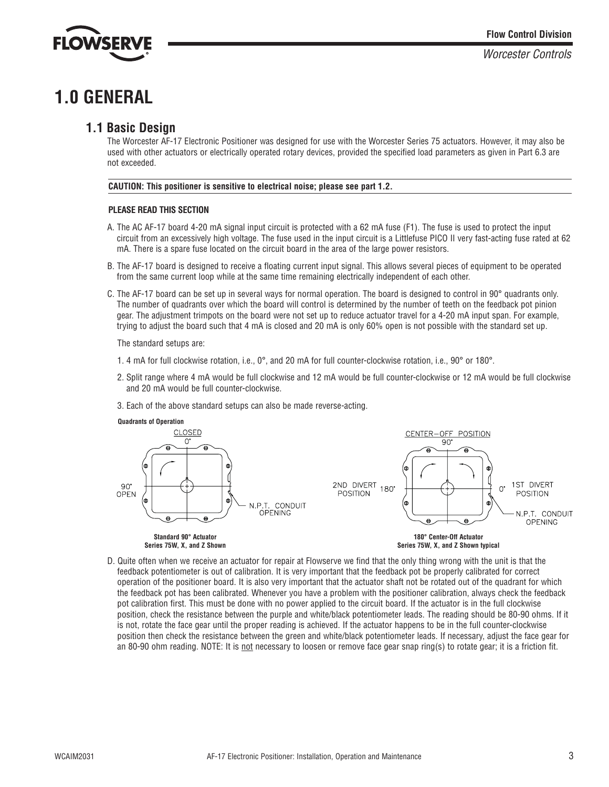

## **1.0 GENERAL**

## **1.1 Basic Design**

The Worcester AF-17 Electronic Positioner was designed for use with the Worcester Series 75 actuators. However, it may also be used with other actuators or electrically operated rotary devices, provided the specified load parameters as given in Part 6.3 are not exceeded.

#### **CAUTION: This positioner is sensitive to electrical noise; please see part 1.2.**

#### **PLEASE READ THIS SECTION**

- A. The AC AF-17 board 4-20 mA signal input circuit is protected with a 62 mA fuse (F1). The fuse is used to protect the input circuit from an excessively high voltage. The fuse used in the input circuit is a Littlefuse PICO II very fast-acting fuse rated at 62 mA. There is a spare fuse located on the circuit board in the area of the large power resistors.
- B. The AF-17 board is designed to receive a floating current input signal. This allows several pieces of equipment to be operated from the same current loop while at the same time remaining electrically independent of each other.
- C. The AF-17 board can be set up in several ways for normal operation. The board is designed to control in 90° quadrants only. The number of quadrants over which the board will control is determined by the number of teeth on the feedback pot pinion gear. The adjustment trimpots on the board were not set up to reduce actuator travel for a 4-20 mA input span. For example, trying to adjust the board such that 4 mA is closed and 20 mA is only 60% open is not possible with the standard set up.

The standard setups are:

- 1. 4 mA for full clockwise rotation, i.e., 0°, and 20 mA for full counter-clockwise rotation, i.e., 90° or 180°.
- 2. Split range where 4 mA would be full clockwise and 12 mA would be full counter-clockwise or 12 mA would be full clockwise and 20 mA would be full counter-clockwise.
- 3. Each of the above standard setups can also be made reverse-acting.





D. Quite often when we receive an actuator for repair at Flowserve we find that the only thing wrong with the unit is that the feedback potentiometer is out of calibration. It is very important that the feedback pot be properly calibrated for correct operation of the positioner board. It is also very important that the actuator shaft not be rotated out of the quadrant for which the feedback pot has been calibrated. Whenever you have a problem with the positioner calibration, always check the feedback pot calibration first. This must be done with no power applied to the circuit board. If the actuator is in the full clockwise position, check the resistance between the purple and white/black potentiometer leads. The reading should be 80-90 ohms. If it is not, rotate the face gear until the proper reading is achieved. If the actuator happens to be in the full counter-clockwise position then check the resistance between the green and white/black potentiometer leads. If necessary, adjust the face gear for an 80-90 ohm reading. NOTE: It is not necessary to loosen or remove face gear snap ring(s) to rotate gear; it is a friction fit.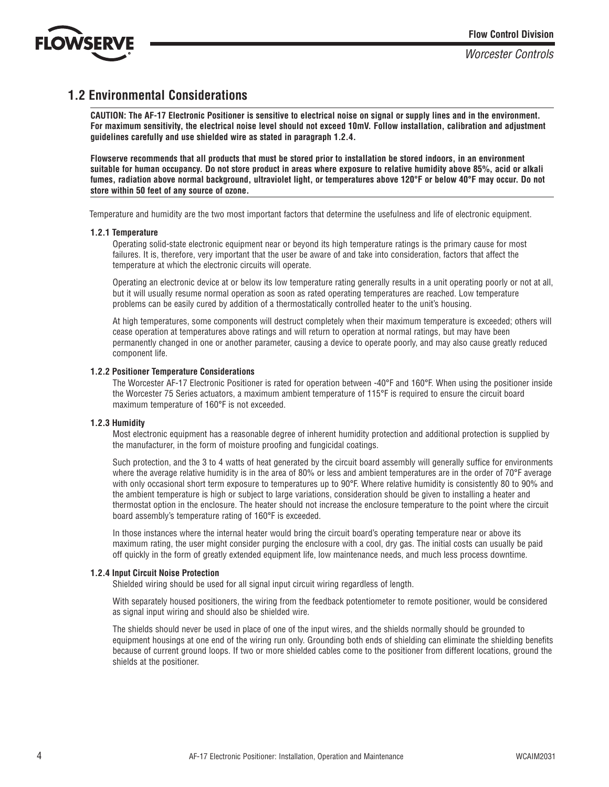

## **1.2 Environmental Considerations**

**CAUTION: The AF-17 Electronic Positioner is sensitive to electrical noise on signal or supply lines and in the environment. For maximum sensitivity, the electrical noise level should not exceed 10mV. Follow installation, calibration and adjustment guidelines carefully and use shielded wire as stated in paragraph 1.2.4.**

**Flowserve recommends that all products that must be stored prior to installation be stored indoors, in an environment suitable for human occupancy. Do not store product in areas where exposure to relative humidity above 85%, acid or alkali fumes, radiation above normal background, ultraviolet light, or temperatures above 120°F or below 40°F may occur. Do not store within 50 feet of any source of ozone.**

Temperature and humidity are the two most important factors that determine the usefulness and life of electronic equipment.

#### **1.2.1 Temperature**

Operating solid-state electronic equipment near or beyond its high temperature ratings is the primary cause for most failures. It is, therefore, very important that the user be aware of and take into consideration, factors that affect the temperature at which the electronic circuits will operate.

Operating an electronic device at or below its low temperature rating generally results in a unit operating poorly or not at all, but it will usually resume normal operation as soon as rated operating temperatures are reached. Low temperature problems can be easily cured by addition of a thermostatically controlled heater to the unit's housing.

At high temperatures, some components will destruct completely when their maximum temperature is exceeded; others will cease operation at temperatures above ratings and will return to operation at normal ratings, but may have been permanently changed in one or another parameter, causing a device to operate poorly, and may also cause greatly reduced component life.

#### **1.2.2 Positioner Temperature Considerations**

The Worcester AF-17 Electronic Positioner is rated for operation between -40°F and 160°F. When using the positioner inside the Worcester 75 Series actuators, a maximum ambient temperature of 115°F is required to ensure the circuit board maximum temperature of 160°F is not exceeded.

#### **1.2.3 Humidity**

Most electronic equipment has a reasonable degree of inherent humidity protection and additional protection is supplied by the manufacturer, in the form of moisture proofing and fungicidal coatings.

Such protection, and the 3 to 4 watts of heat generated by the circuit board assembly will generally suffice for environments where the average relative humidity is in the area of 80% or less and ambient temperatures are in the order of 70°F average with only occasional short term exposure to temperatures up to 90°F. Where relative humidity is consistently 80 to 90% and the ambient temperature is high or subject to large variations, consideration should be given to installing a heater and thermostat option in the enclosure. The heater should not increase the enclosure temperature to the point where the circuit board assembly's temperature rating of 160°F is exceeded.

In those instances where the internal heater would bring the circuit board's operating temperature near or above its maximum rating, the user might consider purging the enclosure with a cool, dry gas. The initial costs can usually be paid off quickly in the form of greatly extended equipment life, low maintenance needs, and much less process downtime.

#### **1.2.4 Input Circuit Noise Protection**

Shielded wiring should be used for all signal input circuit wiring regardless of length.

With separately housed positioners, the wiring from the feedback potentiometer to remote positioner, would be considered as signal input wiring and should also be shielded wire.

The shields should never be used in place of one of the input wires, and the shields normally should be grounded to equipment housings at one end of the wiring run only. Grounding both ends of shielding can eliminate the shielding benefits because of current ground loops. If two or more shielded cables come to the positioner from different locations, ground the shields at the positioner.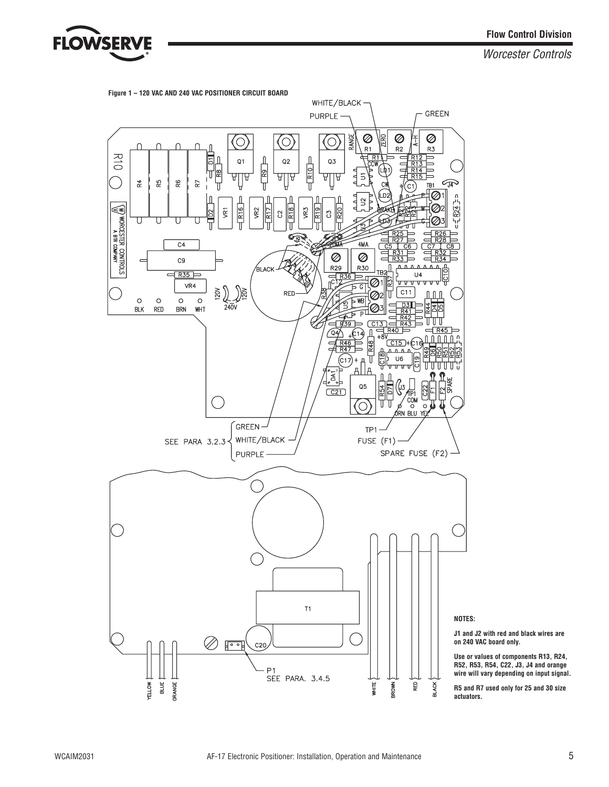



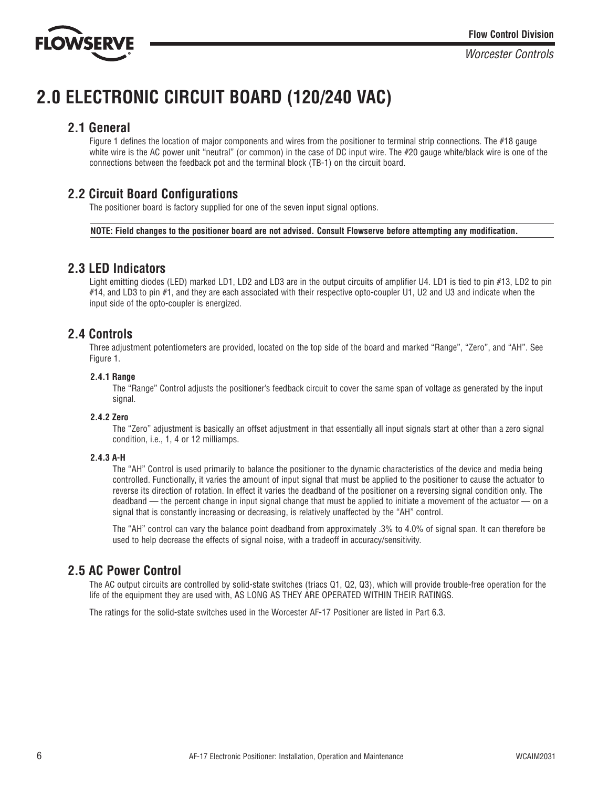

## **2.0 ELECTRONIC CIRCUIT BOARD (120/240 VAC)**

### **2.1 General**

Figure 1 defines the location of major components and wires from the positioner to terminal strip connections. The #18 gauge white wire is the AC power unit "neutral" (or common) in the case of DC input wire. The #20 gauge white/black wire is one of the connections between the feedback pot and the terminal block (TB-1) on the circuit board.

## **2.2 Circuit Board Configurations**

The positioner board is factory supplied for one of the seven input signal options.

**NOTE: Field changes to the positioner board are not advised. Consult Flowserve before attempting any modification.**

## **2.3 LED Indicators**

Light emitting diodes (LED) marked LD1, LD2 and LD3 are in the output circuits of amplifier U4. LD1 is tied to pin #13, LD2 to pin #14, and LD3 to pin #1, and they are each associated with their respective opto-coupler U1, U2 and U3 and indicate when the input side of the opto-coupler is energized.

## **2.4 Controls**

Three adjustment potentiometers are provided, located on the top side of the board and marked "Range", "Zero", and "AH". See Figure 1.

#### **2.4.1 Range**

The "Range" Control adjusts the positioner's feedback circuit to cover the same span of voltage as generated by the input signal.

#### **2.4.2 Zero**

The "Zero" adjustment is basically an offset adjustment in that essentially all input signals start at other than a zero signal condition, i.e., 1, 4 or 12 milliamps.

#### **2.4.3 A-H**

The "AH" Control is used primarily to balance the positioner to the dynamic characteristics of the device and media being controlled. Functionally, it varies the amount of input signal that must be applied to the positioner to cause the actuator to reverse its direction of rotation. In effect it varies the deadband of the positioner on a reversing signal condition only. The deadband — the percent change in input signal change that must be applied to initiate a movement of the actuator — on a signal that is constantly increasing or decreasing, is relatively unaffected by the "AH" control.

The "AH" control can vary the balance point deadband from approximately .3% to 4.0% of signal span. It can therefore be used to help decrease the effects of signal noise, with a tradeoff in accuracy/sensitivity.

## **2.5 AC Power Control**

The AC output circuits are controlled by solid-state switches (triacs Q1, Q2, Q3), which will provide trouble-free operation for the life of the equipment they are used with, AS LONG AS THEY ARE OPERATED WITHIN THEIR RATINGS.

The ratings for the solid-state switches used in the Worcester AF-17 Positioner are listed in Part 6.3.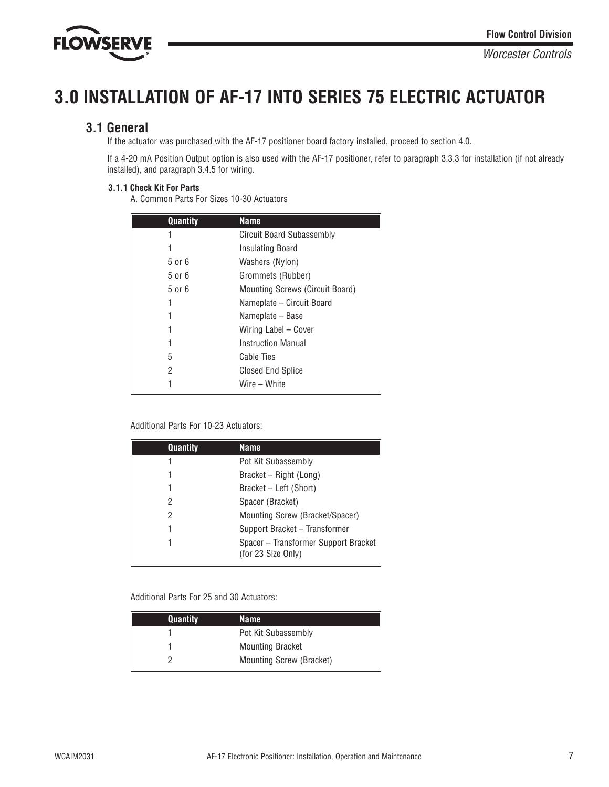

## **3.0 INSTALLATION OF AF-17 INTO SERIES 75 ELECTRIC ACTUATOR**

## **3.1 General**

If the actuator was purchased with the AF-17 positioner board factory installed, proceed to section 4.0.

If a 4-20 mA Position Output option is also used with the AF-17 positioner, refer to paragraph 3.3.3 for installation (if not already installed), and paragraph 3.4.5 for wiring.

#### **3.1.1 Check Kit For Parts**

A. Common Parts For Sizes 10-30 Actuators

| <b>Quantity</b> | <b>Name</b>                     |
|-----------------|---------------------------------|
| 1               | Circuit Board Subassembly       |
| 1               | Insulating Board                |
| 5 or 6          | Washers (Nylon)                 |
| 5 or 6          | Grommets (Rubber)               |
| 5 or 6          | Mounting Screws (Circuit Board) |
| 1               | Nameplate – Circuit Board       |
| 1               | Nameplate – Base                |
| 1               | Wiring Label - Cover            |
| 1               | Instruction Manual              |
| 5               | Cable Ties                      |
| 2               | <b>Closed End Splice</b>        |
|                 | Wire – White                    |

#### Additional Parts For 10-23 Actuators:

| Quantity | <b>Name</b>                                                |
|----------|------------------------------------------------------------|
|          | Pot Kit Subassembly                                        |
|          | Bracket – Right (Long)                                     |
|          | Bracket – Left (Short)                                     |
| 2        | Spacer (Bracket)                                           |
| 2        | Mounting Screw (Bracket/Spacer)                            |
|          | Support Bracket - Transformer                              |
|          | Spacer - Transformer Support Bracket<br>(for 23 Size Only) |

#### Additional Parts For 25 and 30 Actuators:

| <b>Quantity</b> | Name                     |
|-----------------|--------------------------|
|                 | Pot Kit Subassembly      |
|                 | <b>Mounting Bracket</b>  |
|                 | Mounting Screw (Bracket) |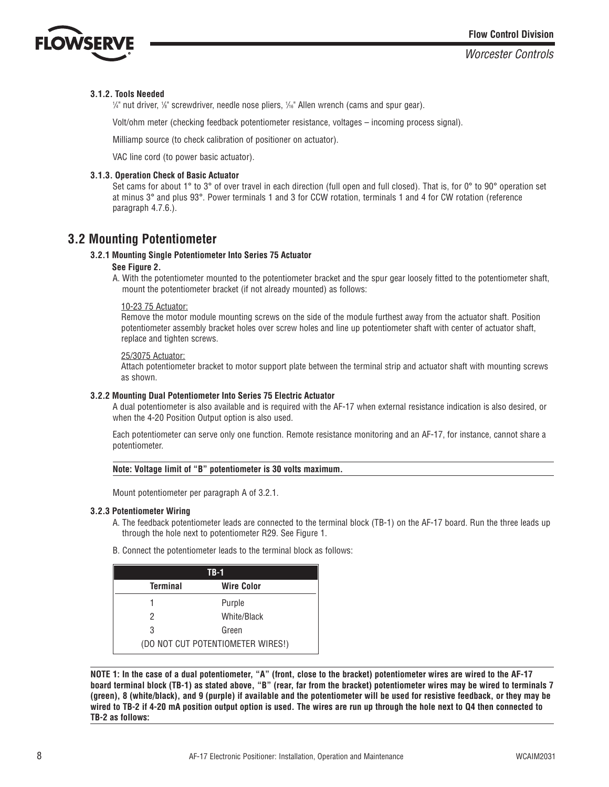

#### **3.1.2. Tools Needed**

 $\frac{1}{4}$ " nut driver, 1⁄8" screwdriver, needle nose pliers, 1⁄16" Allen wrench (cams and spur gear).

Volt/ohm meter (checking feedback potentiometer resistance, voltages – incoming process signal).

Milliamp source (to check calibration of positioner on actuator).

VAC line cord (to power basic actuator).

#### **3.1.3. Operation Check of Basic Actuator**

Set cams for about 1° to 3° of over travel in each direction (full open and full closed). That is, for 0° to 90° operation set at minus 3° and plus 93°. Power terminals 1 and 3 for CCW rotation, terminals 1 and 4 for CW rotation (reference paragraph 4.7.6.).

## **3.2 Mounting Potentiometer**

#### **3.2.1 Mounting Single Potentiometer Into Series 75 Actuator**

#### **See Figure 2.**

A. With the potentiometer mounted to the potentiometer bracket and the spur gear loosely fitted to the potentiometer shaft, mount the potentiometer bracket (if not already mounted) as follows:

#### 10-23 75 Actuator:

Remove the motor module mounting screws on the side of the module furthest away from the actuator shaft. Position potentiometer assembly bracket holes over screw holes and line up potentiometer shaft with center of actuator shaft, replace and tighten screws.

#### 25/3075 Actuator:

Attach potentiometer bracket to motor support plate between the terminal strip and actuator shaft with mounting screws as shown.

#### **3.2.2 Mounting Dual Potentiometer Into Series 75 Electric Actuator**

A dual potentiometer is also available and is required with the AF-17 when external resistance indication is also desired, or when the 4-20 Position Output option is also used.

Each potentiometer can serve only one function. Remote resistance monitoring and an AF-17, for instance, cannot share a potentiometer.

#### **Note: Voltage limit of "B" potentiometer is 30 volts maximum.**

Mount potentiometer per paragraph A of 3.2.1.

#### **3.2.3 Potentiometer Wiring**

- A. The feedback potentiometer leads are connected to the terminal block (TB-1) on the AF-17 board. Run the three leads up through the hole next to potentiometer R29. See Figure 1.
- B. Connect the potentiometer leads to the terminal block as follows:

| TB-1                                 |             |  |
|--------------------------------------|-------------|--|
| <b>Wire Color</b><br><b>Terminal</b> |             |  |
|                                      | Purple      |  |
| 2                                    | White/Black |  |
| 3                                    | Green       |  |
| (DO NOT CUT POTENTIOMETER WIRES!)    |             |  |

**NOTE 1: In the case of a dual potentiometer, "A" (front, close to the bracket) potentiometer wires are wired to the AF-17 board terminal block (TB-1) as stated above, "B" (rear, far from the bracket) potentiometer wires may be wired to terminals 7 (green), 8 (white/black), and 9 (purple) if available and the potentiometer will be used for resistive feedback, or they may be wired to TB-2 if 4-20 mA position output option is used. The wires are run up through the hole next to Q4 then connected to TB-2 as follows:**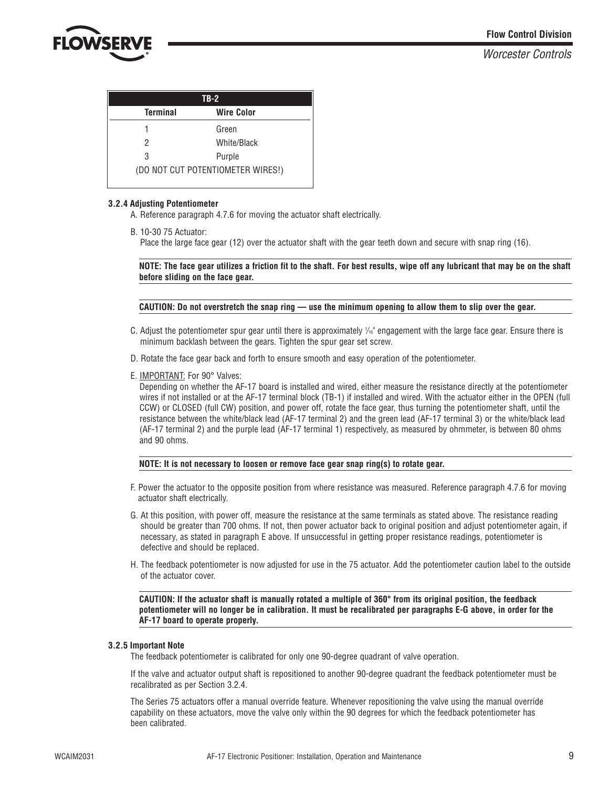

| $TB-2$                            |                   |  |
|-----------------------------------|-------------------|--|
| <b>Terminal</b>                   | <b>Wire Color</b> |  |
|                                   | Green             |  |
| 2                                 | White/Black       |  |
| 3                                 | Purple            |  |
| (DO NOT CUT POTENTIOMETER WIRES!) |                   |  |

#### **3.2.4 Adjusting Potentiometer**

A. Reference paragraph 4.7.6 for moving the actuator shaft electrically.

B. 10-30 75 Actuator:

Place the large face gear (12) over the actuator shaft with the gear teeth down and secure with snap ring (16).

**NOTE: The face gear utilizes a friction fit to the shaft. For best results, wipe off any lubricant that may be on the shaft before sliding on the face gear.**

**CAUTION: Do not overstretch the snap ring — use the minimum opening to allow them to slip over the gear.**

- C. Adjust the potentiometer spur gear until there is approximately 1 */*16" engagement with the large face gear. Ensure there is minimum backlash between the gears. Tighten the spur gear set screw.
- D. Rotate the face gear back and forth to ensure smooth and easy operation of the potentiometer.
- E. IMPORTANT: For 90° Valves:

Depending on whether the AF-17 board is installed and wired, either measure the resistance directly at the potentiometer wires if not installed or at the AF-17 terminal block (TB-1) if installed and wired. With the actuator either in the OPEN (full CCW) or CLOSED (full CW) position, and power off, rotate the face gear, thus turning the potentiometer shaft, until the resistance between the white/black lead (AF-17 terminal 2) and the green lead (AF-17 terminal 3) or the white/black lead (AF-17 terminal 2) and the purple lead (AF-17 terminal 1) respectively, as measured by ohmmeter, is between 80 ohms and 90 ohms.

#### **NOTE: It is not necessary to loosen or remove face gear snap ring(s) to rotate gear.**

- F. Power the actuator to the opposite position from where resistance was measured. Reference paragraph 4.7.6 for moving actuator shaft electrically.
- G. At this position, with power off, measure the resistance at the same terminals as stated above. The resistance reading should be greater than 700 ohms. If not, then power actuator back to original position and adjust potentiometer again, if necessary, as stated in paragraph E above. If unsuccessful in getting proper resistance readings, potentiometer is defective and should be replaced.
- H. The feedback potentiometer is now adjusted for use in the 75 actuator. Add the potentiometer caution label to the outside of the actuator cover.

**CAUTION: If the actuator shaft is manually rotated a multiple of 360° from its original position, the feedback potentiometer will no longer be in calibration. It must be recalibrated per paragraphs E-G above, in order for the AF-17 board to operate properly.**

#### **3.2.5 Important Note**

The feedback potentiometer is calibrated for only one 90-degree quadrant of valve operation.

If the valve and actuator output shaft is repositioned to another 90-degree quadrant the feedback potentiometer must be recalibrated as per Section 3.2.4.

The Series 75 actuators offer a manual override feature. Whenever repositioning the valve using the manual override capability on these actuators, move the valve only within the 90 degrees for which the feedback potentiometer has been calibrated.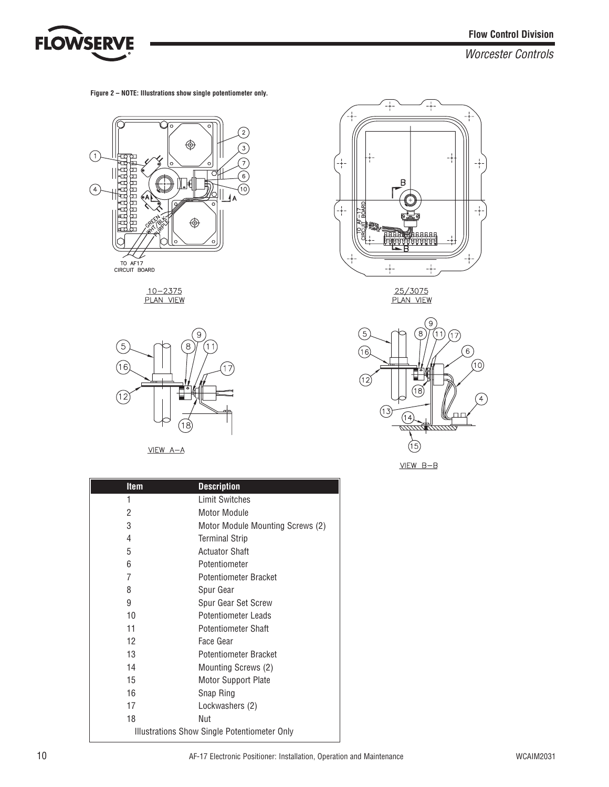

**Figure 2 – NOTE: Illustrations show single potentiometer only.**



<u>10-2375</u><br>PLAN VIEW



 $VIEW A-A$ 

| <b>Item</b> | <b>Description</b>                           |
|-------------|----------------------------------------------|
| 1           | <b>Limit Switches</b>                        |
| 2           | Motor Module                                 |
| 3           | Motor Module Mounting Screws (2)             |
| 4           | <b>Terminal Strip</b>                        |
| 5           | <b>Actuator Shaft</b>                        |
| 6           | Potentiometer                                |
| 7           | <b>Potentiometer Bracket</b>                 |
| 8           | Spur Gear                                    |
| 9           | Spur Gear Set Screw                          |
| 10          | Potentiometer Leads                          |
| 11          | <b>Potentiometer Shaft</b>                   |
| 12          | Face Gear                                    |
| 13          | Potentiometer Bracket                        |
| 14          | Mounting Screws (2)                          |
| 15          | Motor Support Plate                          |
| 16          | Snap Ring                                    |
| 17          | Lockwashers (2)                              |
| 18          | Nut                                          |
|             | Illustrations Show Single Potentiometer Only |



25/3075<br>PLAN VIEW



 $VIEW$   $B-B$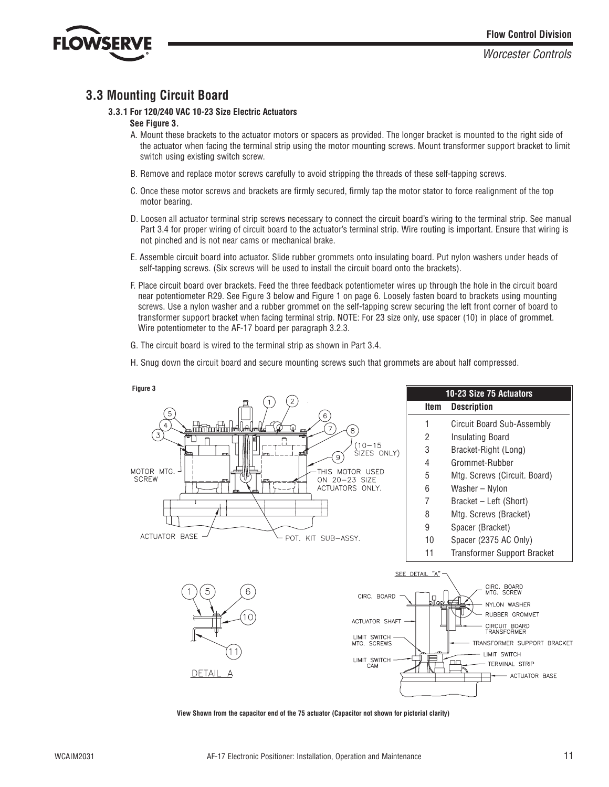

## **3.3 Mounting Circuit Board**

#### **3.3.1 For 120/240 VAC 10-23 Size Electric Actuators**

#### **See Figure 3.**

- A. Mount these brackets to the actuator motors or spacers as provided. The longer bracket is mounted to the right side of the actuator when facing the terminal strip using the motor mounting screws. Mount transformer support bracket to limit switch using existing switch screw.
- B. Remove and replace motor screws carefully to avoid stripping the threads of these self-tapping screws.
- C. Once these motor screws and brackets are firmly secured, firmly tap the motor stator to force realignment of the top motor bearing.
- D. Loosen all actuator terminal strip screws necessary to connect the circuit board's wiring to the terminal strip. See manual Part 3.4 for proper wiring of circuit board to the actuator's terminal strip. Wire routing is important. Ensure that wiring is not pinched and is not near cams or mechanical brake.
- E. Assemble circuit board into actuator. Slide rubber grommets onto insulating board. Put nylon washers under heads of self-tapping screws. (Six screws will be used to install the circuit board onto the brackets).
- F. Place circuit board over brackets. Feed the three feedback potentiometer wires up through the hole in the circuit board near potentiometer R29. See Figure 3 below and Figure 1 on page 6. Loosely fasten board to brackets using mounting screws. Use a nylon washer and a rubber grommet on the self-tapping screw securing the left front corner of board to transformer support bracket when facing terminal strip. NOTE: For 23 size only, use spacer (10) in place of grommet. Wire potentiometer to the AF-17 board per paragraph 3.2.3.
- G. The circuit board is wired to the terminal strip as shown in Part 3.4.
- H. Snug down the circuit board and secure mounting screws such that grommets are about half compressed.



**View Shown from the capacitor end of the 75 actuator (Capacitor not shown for pictorial clarity)**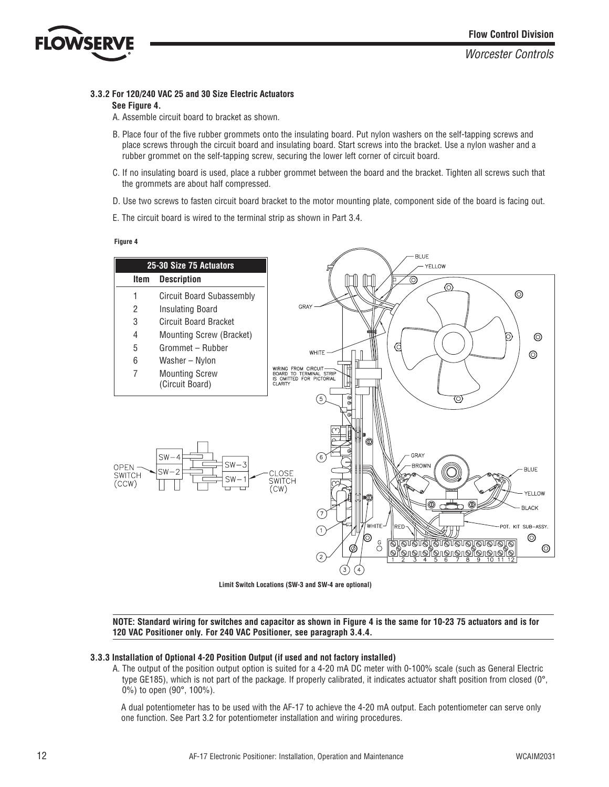

#### **3.3.2 For 120/240 VAC 25 and 30 Size Electric Actuators**

#### **See Figure 4.**

A. Assemble circuit board to bracket as shown.

- B. Place four of the five rubber grommets onto the insulating board. Put nylon washers on the self-tapping screws and place screws through the circuit board and insulating board. Start screws into the bracket. Use a nylon washer and a rubber grommet on the self-tapping screw, securing the lower left corner of circuit board.
- C. If no insulating board is used, place a rubber grommet between the board and the bracket. Tighten all screws such that the grommets are about half compressed.
- D. Use two screws to fasten circuit board bracket to the motor mounting plate, component side of the board is facing out.
- E. The circuit board is wired to the terminal strip as shown in Part 3.4.

**Figure 4**



**Limit Switch Locations (SW-3 and SW-4 are optional)**

**NOTE: Standard wiring for switches and capacitor as shown in Figure 4 is the same for 10-23 75 actuators and is for 120 VAC Positioner only. For 240 VAC Positioner, see paragraph 3.4.4.**

#### **3.3.3 Installation of Optional 4-20 Position Output (if used and not factory installed)**

A. The output of the position output option is suited for a 4-20 mA DC meter with 0-100% scale (such as General Electric type GE185), which is not part of the package. If properly calibrated, it indicates actuator shaft position from closed ( $0^\circ$ , 0%) to open (90°, 100%).

A dual potentiometer has to be used with the AF-17 to achieve the 4-20 mA output. Each potentiometer can serve only one function. See Part 3.2 for potentiometer installation and wiring procedures.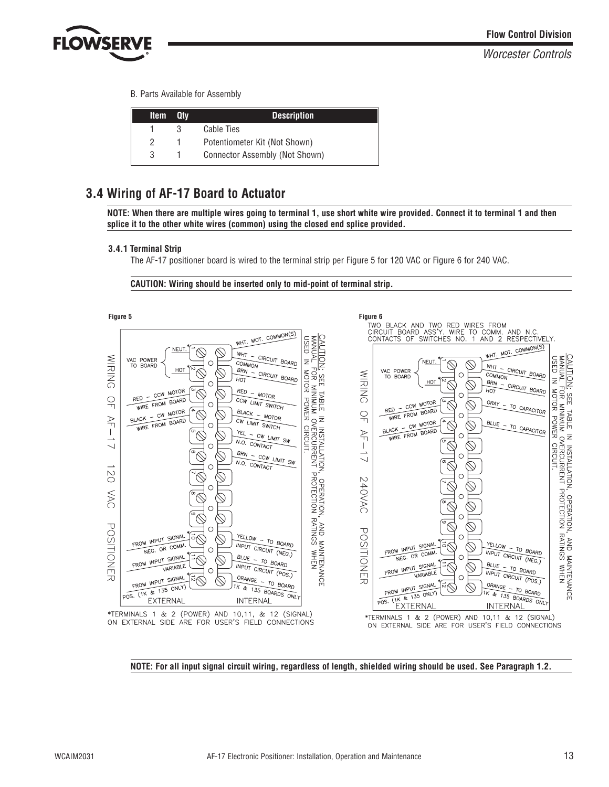

B. Parts Available for Assembly

| <b>Item</b> | Qtv | <b>Description</b>             |
|-------------|-----|--------------------------------|
|             | З   | Cable Ties                     |
|             |     | Potentiometer Kit (Not Shown)  |
| 3           |     | Connector Assembly (Not Shown) |

## **3.4 Wiring of AF-17 Board to Actuator**

**NOTE: When there are multiple wires going to terminal 1, use short white wire provided. Connect it to terminal 1 and then splice it to the other white wires (common) using the closed end splice provided.**

#### **3.4.1 Terminal Strip**

The AF-17 positioner board is wired to the terminal strip per Figure 5 for 120 VAC or Figure 6 for 240 VAC.

**CAUTION: Wiring should be inserted only to mid-point of terminal strip.**



**NOTE: For all input signal circuit wiring, regardless of length, shielded wiring should be used. See Paragraph 1.2.**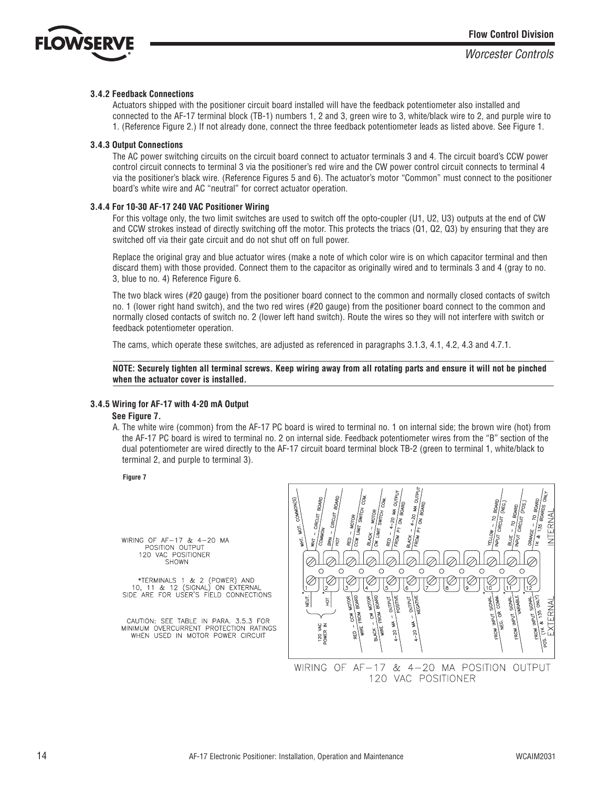

#### **3.4.2 Feedback Connections**

Actuators shipped with the positioner circuit board installed will have the feedback potentiometer also installed and connected to the AF-17 terminal block (TB-1) numbers 1, 2 and 3, green wire to 3, white/black wire to 2, and purple wire to 1. (Reference Figure 2.) If not already done, connect the three feedback potentiometer leads as listed above. See Figure 1.

#### **3.4.3 Output Connections**

The AC power switching circuits on the circuit board connect to actuator terminals 3 and 4. The circuit board's CCW power control circuit connects to terminal 3 via the positioner's red wire and the CW power control circuit connects to terminal 4 via the positioner's black wire. (Reference Figures 5 and 6). The actuator's motor "Common" must connect to the positioner board's white wire and AC "neutral" for correct actuator operation.

#### **3.4.4 For 10-30 AF-17 240 VAC Positioner Wiring**

For this voltage only, the two limit switches are used to switch off the opto-coupler (U1, U2, U3) outputs at the end of CW and CCW strokes instead of directly switching off the motor. This protects the triacs (Q1, Q2, Q3) by ensuring that they are switched off via their gate circuit and do not shut off on full power.

Replace the original gray and blue actuator wires (make a note of which color wire is on which capacitor terminal and then discard them) with those provided. Connect them to the capacitor as originally wired and to terminals 3 and 4 (gray to no. 3, blue to no. 4) Reference Figure 6.

The two black wires (#20 gauge) from the positioner board connect to the common and normally closed contacts of switch no. 1 (lower right hand switch), and the two red wires (#20 gauge) from the positioner board connect to the common and normally closed contacts of switch no. 2 (lower left hand switch). Route the wires so they will not interfere with switch or feedback potentiometer operation.

The cams, which operate these switches, are adjusted as referenced in paragraphs 3.1.3, 4.1, 4.2, 4.3 and 4.7.1.

**NOTE: Securely tighten all terminal screws. Keep wiring away from all rotating parts and ensure it will not be pinched when the actuator cover is installed.**

#### **3.4.5 Wiring for AF-17 with 4-20 mA Output**

#### **See Figure 7.**

A. The white wire (common) from the AF-17 PC board is wired to terminal no. 1 on internal side; the brown wire (hot) from the AF-17 PC board is wired to terminal no. 2 on internal side. Feedback potentiometer wires from the "B" section of the dual potentiometer are wired directly to the AF-17 circuit board terminal block TB-2 (green to terminal 1, white/black to terminal 2, and purple to terminal 3).

**Figure 7**

WIRING OF AF-17 & 4-20 MA POSITION OUTPUT<br>120 VAC POSITIONER<br>SHOWN

\*TERMINALS 1 & 2 (POWER) AND<br>10, 11 & 12 (SIGNAL) ON EXTERNAL SIDE ARE FOR USER'S FIELD CONNECTIONS

CAUTION: SEE TABLE IN PARA. 3.5.3 FOR<br>MINIMUM OVERCURRENT PROTECTION RATINGS WHEN USED IN MOTOR POWER CIRCUIT

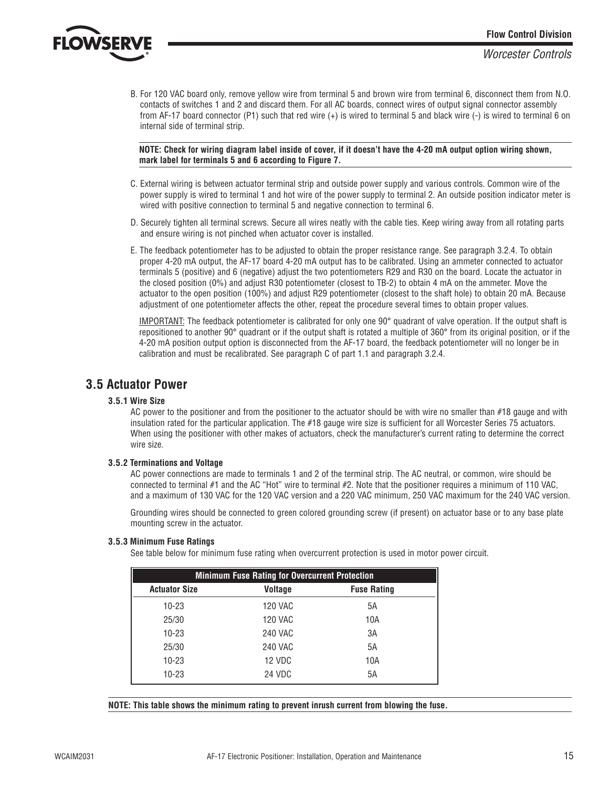

B. For 120 VAC board only, remove yellow wire from terminal 5 and brown wire from terminal 6, disconnect them from N.O. contacts of switches 1 and 2 and discard them. For all AC boards, connect wires of output signal connector assembly from AF-17 board connector (P1) such that red wire (+) is wired to terminal 5 and black wire (-) is wired to terminal 6 on internal side of terminal strip.

**NOTE: Check for wiring diagram label inside of cover, if it doesn't have the 4-20 mA output option wiring shown, mark label for terminals 5 and 6 according to Figure 7.**

- C. External wiring is between actuator terminal strip and outside power supply and various controls. Common wire of the power supply is wired to terminal 1 and hot wire of the power supply to terminal 2. An outside position indicator meter is wired with positive connection to terminal 5 and negative connection to terminal 6.
- D. Securely tighten all terminal screws. Secure all wires neatly with the cable ties. Keep wiring away from all rotating parts and ensure wiring is not pinched when actuator cover is installed.
- E. The feedback potentiometer has to be adjusted to obtain the proper resistance range. See paragraph 3.2.4. To obtain proper 4-20 mA output, the AF-17 board 4-20 mA output has to be calibrated. Using an ammeter connected to actuator terminals 5 (positive) and 6 (negative) adjust the two potentiometers R29 and R30 on the board. Locate the actuator in the closed position (0%) and adjust R30 potentiometer (closest to TB-2) to obtain 4 mA on the ammeter. Move the actuator to the open position (100%) and adjust R29 potentiometer (closest to the shaft hole) to obtain 20 mA. Because adjustment of one potentiometer affects the other, repeat the procedure several times to obtain proper values.

IMPORTANT: The feedback potentiometer is calibrated for only one 90° quadrant of valve operation. If the output shaft is repositioned to another 90° quadrant or if the output shaft is rotated a multiple of 360° from its original position, or if the 4-20 mA position output option is disconnected from the AF-17 board, the feedback potentiometer will no longer be in calibration and must be recalibrated. See paragraph C of part 1.1 and paragraph 3.2.4.

## **3.5 Actuator Power**

#### **3.5.1 Wire Size**

AC power to the positioner and from the positioner to the actuator should be with wire no smaller than #18 gauge and with insulation rated for the particular application. The #18 gauge wire size is sufficient for all Worcester Series 75 actuators. When using the positioner with other makes of actuators, check the manufacturer's current rating to determine the correct wire size.

#### **3.5.2 Terminations and Voltage**

AC power connections are made to terminals 1 and 2 of the terminal strip. The AC neutral, or common, wire should be connected to terminal #1 and the AC "Hot" wire to terminal #2. Note that the positioner requires a minimum of 110 VAC, and a maximum of 130 VAC for the 120 VAC version and a 220 VAC minimum, 250 VAC maximum for the 240 VAC version.

Grounding wires should be connected to green colored grounding screw (if present) on actuator base or to any base plate mounting screw in the actuator.

#### **3.5.3 Minimum Fuse Ratings**

See table below for minimum fuse rating when overcurrent protection is used in motor power circuit.

| <b>Minimum Fuse Rating for Overcurrent Protection</b> |                |                    |
|-------------------------------------------------------|----------------|--------------------|
| <b>Actuator Size</b>                                  | <b>Voltage</b> | <b>Fuse Rating</b> |
| $10 - 23$                                             | <b>120 VAC</b> | 5A                 |
| 25/30                                                 | <b>120 VAC</b> | 10A                |
| $10 - 23$                                             | <b>240 VAC</b> | 3A                 |
| 25/30                                                 | <b>240 VAC</b> | 5A                 |
| $10 - 23$                                             | 12 VDC         | 10A                |
| $10 - 23$                                             | 24 VDC         | 5A                 |

**NOTE: This table shows the minimum rating to prevent inrush current from blowing the fuse.**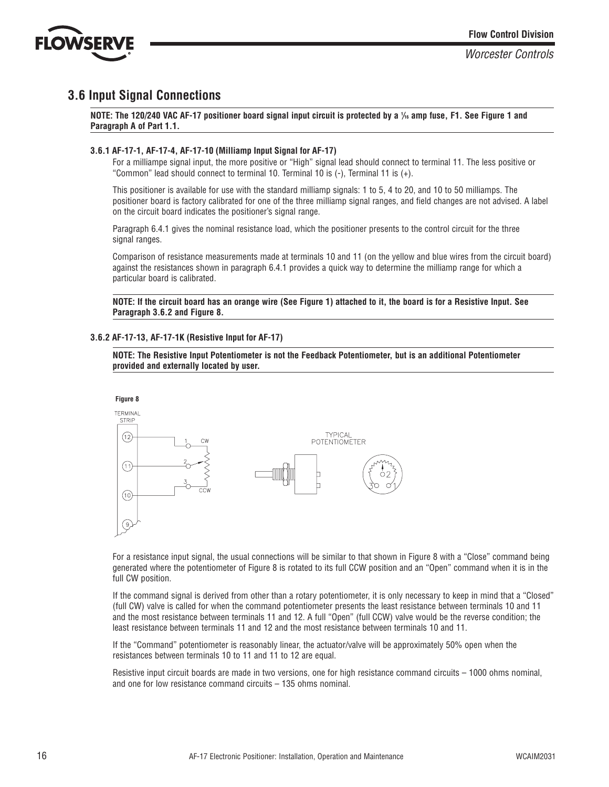

## **3.6 Input Signal Connections**

**NOTE: The 120/240 VAC AF-17 positioner board signal input circuit is protected by a 1** */***<sup>16</sup> amp fuse, F1. See Figure 1 and Paragraph A of Part 1.1.**

#### **3.6.1 AF-17-1, AF-17-4, AF-17-10 (Milliamp Input Signal for AF-17)**

For a milliampe signal input, the more positive or "High" signal lead should connect to terminal 11. The less positive or "Common" lead should connect to terminal 10. Terminal 10 is  $(-)$ , Terminal 11 is  $(+)$ .

This positioner is available for use with the standard milliamp signals: 1 to 5, 4 to 20, and 10 to 50 milliamps. The positioner board is factory calibrated for one of the three milliamp signal ranges, and field changes are not advised. A label on the circuit board indicates the positioner's signal range.

Paragraph 6.4.1 gives the nominal resistance load, which the positioner presents to the control circuit for the three signal ranges.

Comparison of resistance measurements made at terminals 10 and 11 (on the yellow and blue wires from the circuit board) against the resistances shown in paragraph 6.4.1 provides a quick way to determine the milliamp range for which a particular board is calibrated.

**NOTE: If the circuit board has an orange wire (See Figure 1) attached to it, the board is for a Resistive Input. See Paragraph 3.6.2 and Figure 8.**

#### **3.6.2 AF-17-13, AF-17-1K (Resistive Input for AF-17)**





For a resistance input signal, the usual connections will be similar to that shown in Figure 8 with a "Close" command being generated where the potentiometer of Figure 8 is rotated to its full CCW position and an "Open" command when it is in the full CW position.

If the command signal is derived from other than a rotary potentiometer, it is only necessary to keep in mind that a "Closed" (full CW) valve is called for when the command potentiometer presents the least resistance between terminals 10 and 11 and the most resistance between terminals 11 and 12. A full "Open" (full CCW) valve would be the reverse condition; the least resistance between terminals 11 and 12 and the most resistance between terminals 10 and 11.

If the "Command" potentiometer is reasonably linear, the actuator/valve will be approximately 50% open when the resistances between terminals 10 to 11 and 11 to 12 are equal.

Resistive input circuit boards are made in two versions, one for high resistance command circuits – 1000 ohms nominal, and one for low resistance command circuits – 135 ohms nominal.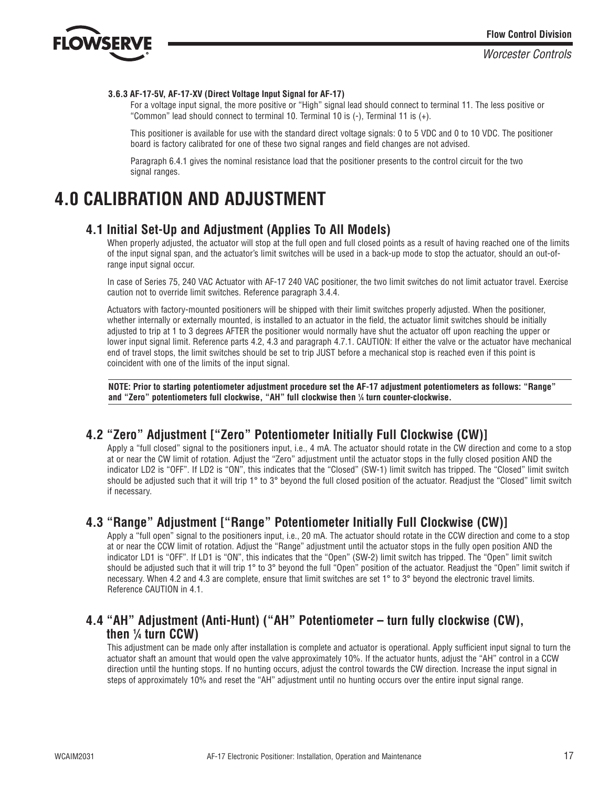

#### **3.6.3 AF-17-5V, AF-17-XV (Direct Voltage Input Signal for AF-17)**

For a voltage input signal, the more positive or "High" signal lead should connect to terminal 11. The less positive or "Common" lead should connect to terminal 10. Terminal 10 is (-), Terminal 11 is (+).

This positioner is available for use with the standard direct voltage signals: 0 to 5 VDC and 0 to 10 VDC. The positioner board is factory calibrated for one of these two signal ranges and field changes are not advised.

Paragraph 6.4.1 gives the nominal resistance load that the positioner presents to the control circuit for the two signal ranges.

## **4.0 CALIBRATION AND ADJUSTMENT**

## **4.1 Initial Set-Up and Adjustment (Applies To All Models)**

When properly adjusted, the actuator will stop at the full open and full closed points as a result of having reached one of the limits of the input signal span, and the actuator's limit switches will be used in a back-up mode to stop the actuator, should an out-ofrange input signal occur.

In case of Series 75, 240 VAC Actuator with AF-17 240 VAC positioner, the two limit switches do not limit actuator travel. Exercise caution not to override limit switches. Reference paragraph 3.4.4.

Actuators with factory-mounted positioners will be shipped with their limit switches properly adjusted. When the positioner, whether internally or externally mounted, is installed to an actuator in the field, the actuator limit switches should be initially adjusted to trip at 1 to 3 degrees AFTER the positioner would normally have shut the actuator off upon reaching the upper or lower input signal limit. Reference parts 4.2, 4.3 and paragraph 4.7.1. CAUTION: If either the valve or the actuator have mechanical end of travel stops, the limit switches should be set to trip JUST before a mechanical stop is reached even if this point is coincident with one of the limits of the input signal.

**NOTE: Prior to starting potentiometer adjustment procedure set the AF-17 adjustment potentiometers as follows: "Range" and "Zero" potentiometers full clockwise, "AH" full clockwise then 1** */***<sup>4</sup> turn counter-clockwise.**

## **4.2 "Zero" Adjustment ["Zero" Potentiometer Initially Full Clockwise (CW)]**

Apply a "full closed" signal to the positioners input, i.e., 4 mA. The actuator should rotate in the CW direction and come to a stop at or near the CW limit of rotation. Adjust the "Zero" adjustment until the actuator stops in the fully closed position AND the indicator LD2 is "OFF". If LD2 is "ON", this indicates that the "Closed" (SW-1) limit switch has tripped. The "Closed" limit switch should be adjusted such that it will trip 1° to 3° beyond the full closed position of the actuator. Readjust the "Closed" limit switch if necessary.

## **4.3 "Range" Adjustment ["Range" Potentiometer Initially Full Clockwise (CW)]**

Apply a "full open" signal to the positioners input, i.e., 20 mA. The actuator should rotate in the CCW direction and come to a stop at or near the CCW limit of rotation. Adjust the "Range" adjustment until the actuator stops in the fully open position AND the indicator LD1 is "OFF". If LD1 is "ON", this indicates that the "Open" (SW-2) limit switch has tripped. The "Open" limit switch should be adjusted such that it will trip 1° to 3° beyond the full "Open" position of the actuator. Readjust the "Open" limit switch if necessary. When 4.2 and 4.3 are complete, ensure that limit switches are set 1° to 3° beyond the electronic travel limits. Reference CAUTION in 4.1.

## **4.4 "AH" Adjustment (Anti-Hunt) ("AH" Potentiometer – turn fully clockwise (CW), then 1** */***<sup>4</sup> turn CCW)**

This adjustment can be made only after installation is complete and actuator is operational. Apply sufficient input signal to turn the actuator shaft an amount that would open the valve approximately 10%. If the actuator hunts, adjust the "AH" control in a CCW direction until the hunting stops. If no hunting occurs, adjust the control towards the CW direction. Increase the input signal in steps of approximately 10% and reset the "AH" adjustment until no hunting occurs over the entire input signal range.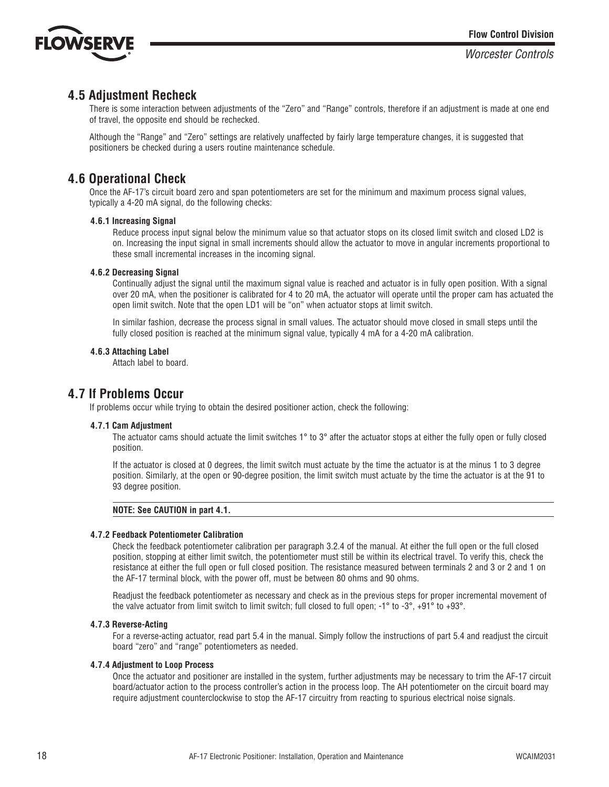

## **4.5 Adjustment Recheck**

There is some interaction between adjustments of the "Zero" and "Range" controls, therefore if an adjustment is made at one end of travel, the opposite end should be rechecked.

Although the "Range" and "Zero" settings are relatively unaffected by fairly large temperature changes, it is suggested that positioners be checked during a users routine maintenance schedule.

## **4.6 Operational Check**

Once the AF-17's circuit board zero and span potentiometers are set for the minimum and maximum process signal values, typically a 4-20 mA signal, do the following checks:

#### **4.6.1 Increasing Signal**

Reduce process input signal below the minimum value so that actuator stops on its closed limit switch and closed LD2 is on. Increasing the input signal in small increments should allow the actuator to move in angular increments proportional to these small incremental increases in the incoming signal.

#### **4.6.2 Decreasing Signal**

Continually adjust the signal until the maximum signal value is reached and actuator is in fully open position. With a signal over 20 mA, when the positioner is calibrated for 4 to 20 mA, the actuator will operate until the proper cam has actuated the open limit switch. Note that the open LD1 will be "on" when actuator stops at limit switch.

In similar fashion, decrease the process signal in small values. The actuator should move closed in small steps until the fully closed position is reached at the minimum signal value, typically 4 mA for a 4-20 mA calibration.

#### **4.6.3 Attaching Label**

Attach label to board.

### **4.7 If Problems Occur**

If problems occur while trying to obtain the desired positioner action, check the following:

#### **4.7.1 Cam Adjustment**

The actuator cams should actuate the limit switches 1° to 3° after the actuator stops at either the fully open or fully closed position.

If the actuator is closed at 0 degrees, the limit switch must actuate by the time the actuator is at the minus 1 to 3 degree position. Similarly, at the open or 90-degree position, the limit switch must actuate by the time the actuator is at the 91 to 93 degree position.

#### **NOTE: See CAUTION in part 4.1.**

#### **4.7.2 Feedback Potentiometer Calibration**

Check the feedback potentiometer calibration per paragraph 3.2.4 of the manual. At either the full open or the full closed position, stopping at either limit switch, the potentiometer must still be within its electrical travel. To verify this, check the resistance at either the full open or full closed position. The resistance measured between terminals 2 and 3 or 2 and 1 on the AF-17 terminal block, with the power off, must be between 80 ohms and 90 ohms.

Readjust the feedback potentiometer as necessary and check as in the previous steps for proper incremental movement of the valve actuator from limit switch to limit switch; full closed to full open; -1° to -3°, +91° to +93°.

#### **4.7.3 Reverse-Acting**

For a reverse-acting actuator, read part 5.4 in the manual. Simply follow the instructions of part 5.4 and readjust the circuit board "zero" and "range" potentiometers as needed.

#### **4.7.4 Adjustment to Loop Process**

Once the actuator and positioner are installed in the system, further adjustments may be necessary to trim the AF-17 circuit board/actuator action to the process controller's action in the process loop. The AH potentiometer on the circuit board may require adjustment counterclockwise to stop the AF-17 circuitry from reacting to spurious electrical noise signals.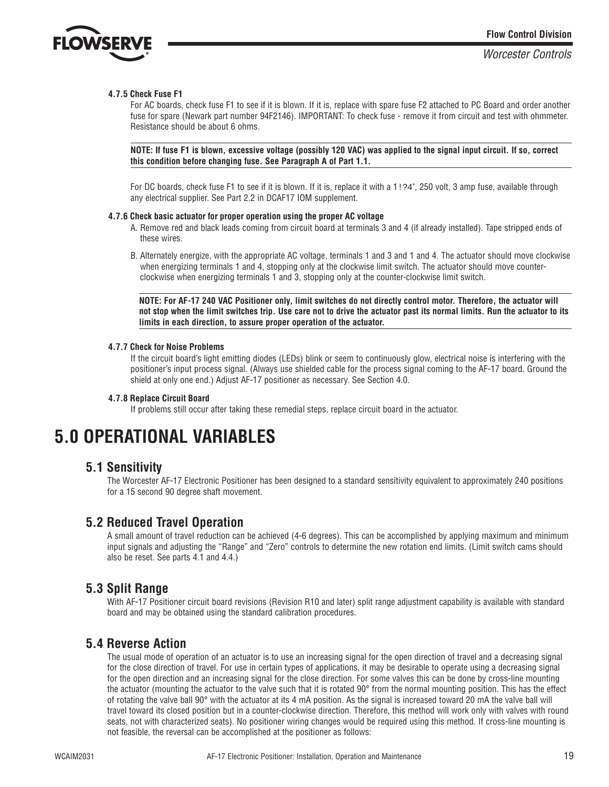

#### **4.7.5 Check Fuse F1**

For AC boards, check fuse F1 to see if it is blown. If it is, replace with spare fuse F2 attached to PC Board and order another fuse for spare (Newark part number 94F2146). IMPORTANT: To check fuse - remove it from circuit and test with ohmmeter. Resistance should be about 6 ohms.

**NOTE: If fuse F1 is blown, excessive voltage (possibly 120 VAC) was applied to the signal input circuit. If so, correct this condition before changing fuse. See Paragraph A of Part 1.1.**

For DC boards, check fuse F1 to see if it is blown. If it is, replace it with a 1:24", 250 volt, 3 amp fuse, available through any electrical supplier. See Part 2.2 in DCAF17 IOM supplement.

#### **4.7.6 Check basic actuator for proper operation using the proper AC voltage**

- A. Remove red and black leads coming from circuit board at terminals 3 and 4 (if already installed). Tape stripped ends of these wires.
- B. Alternately energize, with the appropriate AC voltage, terminals 1 and 3 and 1 and 4. The actuator should move clockwise when energizing terminals 1 and 4, stopping only at the clockwise limit switch. The actuator should move counterclockwise when energizing terminals 1 and 3, stopping only at the counter-clockwise limit switch.

**NOTE: For AF-17 240 VAC Positioner only, limit switches do not directly control motor. Therefore, the actuator will not stop when the limit switches trip. Use care not to drive the actuator past its normal limits. Run the actuator to its limits in each direction, to assure proper operation of the actuator.**

#### **4.7.7 Check for Noise Problems**

If the circuit board's light emitting diodes (LEDs) blink or seem to continuously glow, electrical noise is interfering with the positioner's input process signal. (Always use shielded cable for the process signal coming to the AF-17 board. Ground the shield at only one end.) Adjust AF-17 positioner as necessary. See Section 4.0.

#### **4.7.8 Replace Circuit Board**

If problems still occur after taking these remedial steps, replace circuit board in the actuator.

## **5.0 OPERATIONAL VARIABLES**

### **5.1 Sensitivity**

The Worcester AF-17 Electronic Positioner has been designed to a standard sensitivity equivalent to approximately 240 positions for a 15 second 90 degree shaft movement.

### **5.2 Reduced Travel Operation**

A small amount of travel reduction can be achieved (4-6 degrees). This can be accomplished by applying maximum and minimum input signals and adjusting the "Range" and "Zero" controls to determine the new rotation end limits. (Limit switch cams should also be reset. See parts 4.1 and 4.4.)

### **5.3 Split Range**

With AF-17 Positioner circuit board revisions (Revision R10 and later) split range adjustment capability is available with standard board and may be obtained using the standard calibration procedures.

### **5.4 Reverse Action**

The usual mode of operation of an actuator is to use an increasing signal for the open direction of travel and a decreasing signal for the close direction of travel. For use in certain types of applications, it may be desirable to operate using a decreasing signal for the open direction and an increasing signal for the close direction. For some valves this can be done by cross-line mounting the actuator (mounting the actuator to the valve such that it is rotated 90° from the normal mounting position. This has the effect of rotating the valve ball 90° with the actuator at its 4 mA position. As the signal is increased toward 20 mA the valve ball will travel toward its closed position but in a counter-clockwise direction. Therefore, this method will work only with valves with round seats, not with characterized seats). No positioner wiring changes would be required using this method. If cross-line mounting is not feasible, the reversal can be accomplished at the positioner as follows: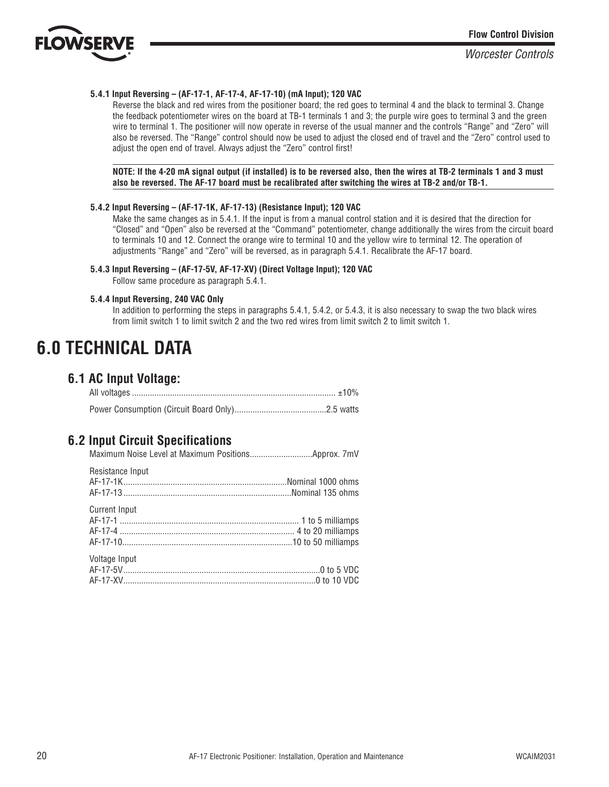

#### **5.4.1 Input Reversing – (AF-17-1, AF-17-4, AF-17-10) (mA Input); 120 VAC**

Reverse the black and red wires from the positioner board; the red goes to terminal 4 and the black to terminal 3. Change the feedback potentiometer wires on the board at TB-1 terminals 1 and 3; the purple wire goes to terminal 3 and the green wire to terminal 1. The positioner will now operate in reverse of the usual manner and the controls "Range" and "Zero" will also be reversed. The "Range" control should now be used to adjust the closed end of travel and the "Zero" control used to adjust the open end of travel. Always adjust the "Zero" control first!

**NOTE: If the 4-20 mA signal output (if installed) is to be reversed also, then the wires at TB-2 terminals 1 and 3 must also be reversed. The AF-17 board must be recalibrated after switching the wires at TB-2 and/or TB-1.**

#### **5.4.2 Input Reversing – (AF-17-1K, AF-17-13) (Resistance Input); 120 VAC**

Make the same changes as in 5.4.1. If the input is from a manual control station and it is desired that the direction for "Closed" and "Open" also be reversed at the "Command" potentiometer, change additionally the wires from the circuit board to terminals 10 and 12. Connect the orange wire to terminal 10 and the yellow wire to terminal 12. The operation of adjustments "Range" and "Zero" will be reversed, as in paragraph 5.4.1. Recalibrate the AF-17 board.

#### **5.4.3 Input Reversing – (AF-17-5V, AF-17-XV) (Direct Voltage Input); 120 VAC**

Follow same procedure as paragraph 5.4.1.

#### **5.4.4 Input Reversing, 240 VAC Only**

In addition to performing the steps in paragraphs 5.4.1, 5.4.2, or 5.4.3, it is also necessary to swap the two black wires from limit switch 1 to limit switch 2 and the two red wires from limit switch 2 to limit switch 1.

## **6.0 TECHNICAL DATA**

## **6.1 AC Input Voltage:**

### **6.2 Input Circuit Specifications**

| Resistance Input     |  |
|----------------------|--|
| <b>Current Input</b> |  |
| Voltage Input        |  |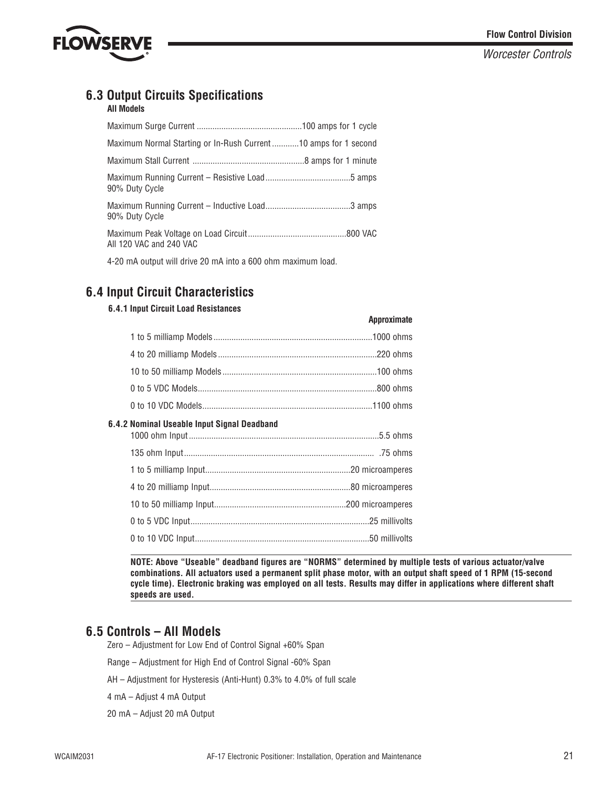

## **6.3 Output Circuits Specifications**

### **All Models**

|                | Maximum Normal Starting or In-Rush Current10 amps for 1 second |  |
|----------------|----------------------------------------------------------------|--|
|                |                                                                |  |
| 90% Duty Cycle |                                                                |  |
| 90% Duty Cycle |                                                                |  |
|                | All 120 VAC and 240 VAC                                        |  |

4-20 mA output will drive 20 mA into a 600 ohm maximum load.

## **6.4 Input Circuit Characteristics**

#### **6.4.1 Input Circuit Load Resistances**

|                                             | <b>UPPLOYILIQUE</b> |
|---------------------------------------------|---------------------|
|                                             |                     |
|                                             |                     |
|                                             |                     |
|                                             |                     |
|                                             |                     |
| 6.4.2 Nominal Useable Input Signal Deadband |                     |
|                                             |                     |
|                                             |                     |
|                                             |                     |
|                                             |                     |
|                                             |                     |
|                                             |                     |
|                                             |                     |
|                                             |                     |

**NOTE: Above "Useable" deadband figures are "NORMS" determined by multiple tests of various actuator/valve combinations. All actuators used a permanent split phase motor, with an output shaft speed of 1 RPM (15-second cycle time). Electronic braking was employed on all tests. Results may differ in applications where different shaft speeds are used.**

**Approximate**

## **6.5 Controls – All Models**

Zero – Adjustment for Low End of Control Signal +60% Span

Range – Adjustment for High End of Control Signal -60% Span

AH – Adjustment for Hysteresis (Anti-Hunt) 0.3% to 4.0% of full scale

4 mA – Adjust 4 mA Output

20 mA – Adjust 20 mA Output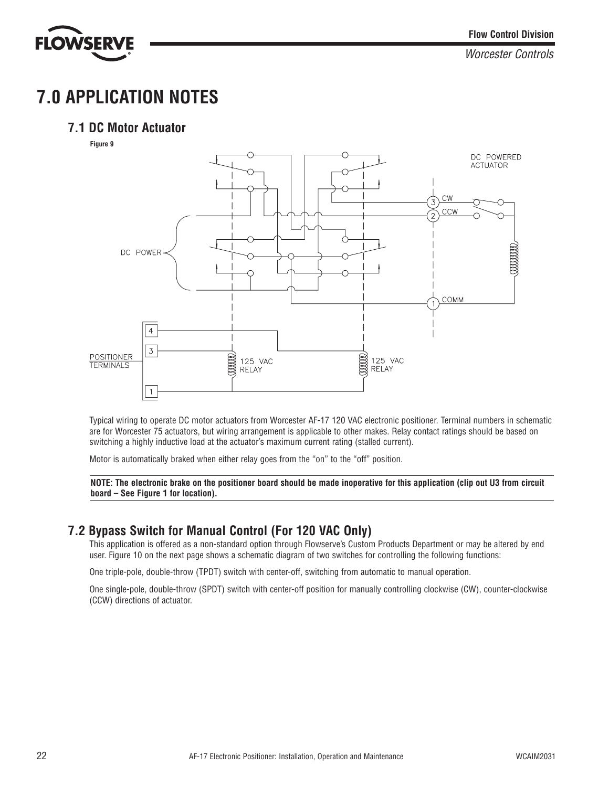

## **7.0 APPLICATION NOTES**

## **7.1 DC Motor Actuator**





Typical wiring to operate DC motor actuators from Worcester AF-17 120 VAC electronic positioner. Terminal numbers in schematic are for Worcester 75 actuators, but wiring arrangement is applicable to other makes. Relay contact ratings should be based on switching a highly inductive load at the actuator's maximum current rating (stalled current).

Motor is automatically braked when either relay goes from the "on" to the "off" position.

**NOTE: The electronic brake on the positioner board should be made inoperative for this application (clip out U3 from circuit board – See Figure 1 for location).**

## **7.2 Bypass Switch for Manual Control (For 120 VAC Only)**

This application is offered as a non-standard option through Flowserve's Custom Products Department or may be altered by end user. Figure 10 on the next page shows a schematic diagram of two switches for controlling the following functions:

One triple-pole, double-throw (TPDT) switch with center-off, switching from automatic to manual operation.

One single-pole, double-throw (SPDT) switch with center-off position for manually controlling clockwise (CW), counter-clockwise (CCW) directions of actuator.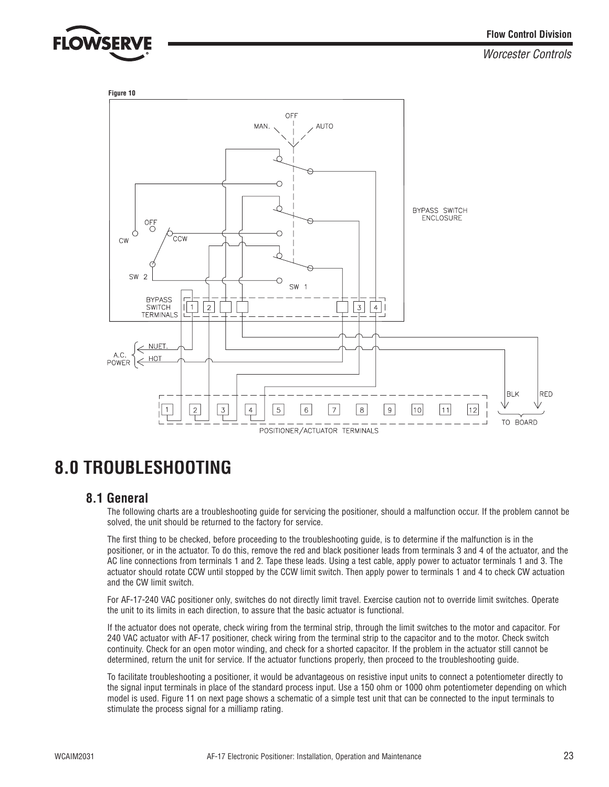![](_page_22_Picture_0.jpeg)

![](_page_22_Figure_3.jpeg)

## **8.0 TROUBLESHOOTING**

## **8.1 General**

The following charts are a troubleshooting guide for servicing the positioner, should a malfunction occur. If the problem cannot be solved, the unit should be returned to the factory for service.

The first thing to be checked, before proceeding to the troubleshooting guide, is to determine if the malfunction is in the positioner, or in the actuator. To do this, remove the red and black positioner leads from terminals 3 and 4 of the actuator, and the AC line connections from terminals 1 and 2. Tape these leads. Using a test cable, apply power to actuator terminals 1 and 3. The actuator should rotate CCW until stopped by the CCW limit switch. Then apply power to terminals 1 and 4 to check CW actuation and the CW limit switch.

For AF-17-240 VAC positioner only, switches do not directly limit travel. Exercise caution not to override limit switches. Operate the unit to its limits in each direction, to assure that the basic actuator is functional.

If the actuator does not operate, check wiring from the terminal strip, through the limit switches to the motor and capacitor. For 240 VAC actuator with AF-17 positioner, check wiring from the terminal strip to the capacitor and to the motor. Check switch continuity. Check for an open motor winding, and check for a shorted capacitor. If the problem in the actuator still cannot be determined, return the unit for service. If the actuator functions properly, then proceed to the troubleshooting guide.

To facilitate troubleshooting a positioner, it would be advantageous on resistive input units to connect a potentiometer directly to the signal input terminals in place of the standard process input. Use a 150 ohm or 1000 ohm potentiometer depending on which model is used. Figure 11 on next page shows a schematic of a simple test unit that can be connected to the input terminals to stimulate the process signal for a milliamp rating.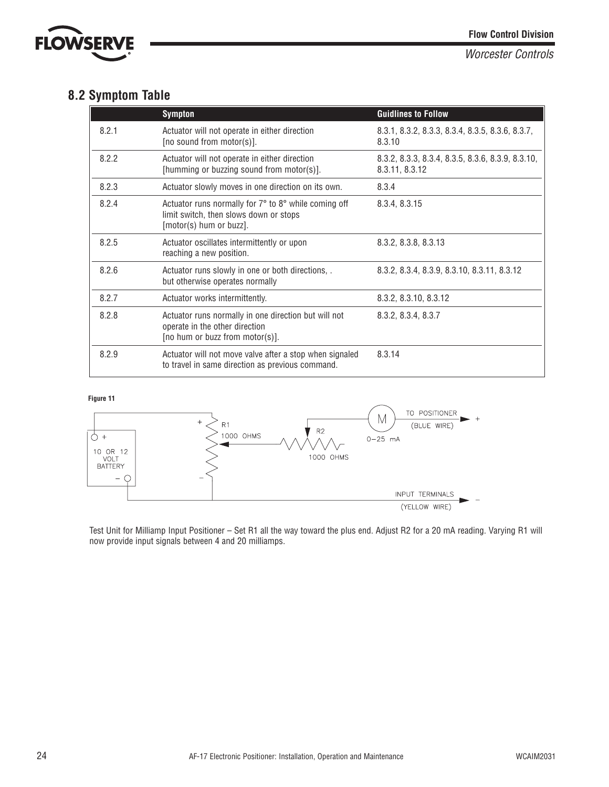![](_page_23_Picture_0.jpeg)

## **8.2 Symptom Table**

|       | <b>Sympton</b>                                                                                                            | <b>Guidlines to Follow</b>                                          |
|-------|---------------------------------------------------------------------------------------------------------------------------|---------------------------------------------------------------------|
| 8.2.1 | Actuator will not operate in either direction<br>[no sound from motor(s)].                                                | 8.3.1, 8.3.2, 8.3.3, 8.3.4, 8.3.5, 8.3.6, 8.3.7,<br>8.3.10          |
| 8.2.2 | Actuator will not operate in either direction<br>[humming or buzzing sound from motor(s)].                                | 8.3.2, 8.3.3, 8.3.4, 8.3.5, 8.3.6, 8.3.9, 8.3.10,<br>8.3.11, 8.3.12 |
| 8.2.3 | Actuator slowly moves in one direction on its own.                                                                        | 8.3.4                                                               |
| 8.2.4 | Actuator runs normally for 7° to 8° while coming off<br>limit switch, then slows down or stops<br>[motor(s) hum or buzz]. | 8.3.4, 8.3.15                                                       |
| 8.2.5 | Actuator oscillates intermittently or upon<br>reaching a new position.                                                    | 8.3.2, 8.3.8, 8.3.13                                                |
| 8.2.6 | Actuator runs slowly in one or both directions, .<br>but otherwise operates normally                                      | 8.3.2, 8.3.4, 8.3.9, 8.3.10, 8.3.11, 8.3.12                         |
| 8.2.7 | Actuator works intermittently.                                                                                            | 8.3.2, 8.3.10, 8.3.12                                               |
| 8.2.8 | Actuator runs normally in one direction but will not<br>operate in the other direction<br>[no hum or buzz from motor(s)]. | 8.3.2, 8.3.4, 8.3.7                                                 |
| 8.2.9 | Actuator will not move valve after a stop when signaled<br>to travel in same direction as previous command.               | 8.3.14                                                              |

#### **Figure 11**

![](_page_23_Figure_6.jpeg)

Test Unit for Milliamp Input Positioner – Set R1 all the way toward the plus end. Adjust R2 for a 20 mA reading. Varying R1 will now provide input signals between 4 and 20 milliamps.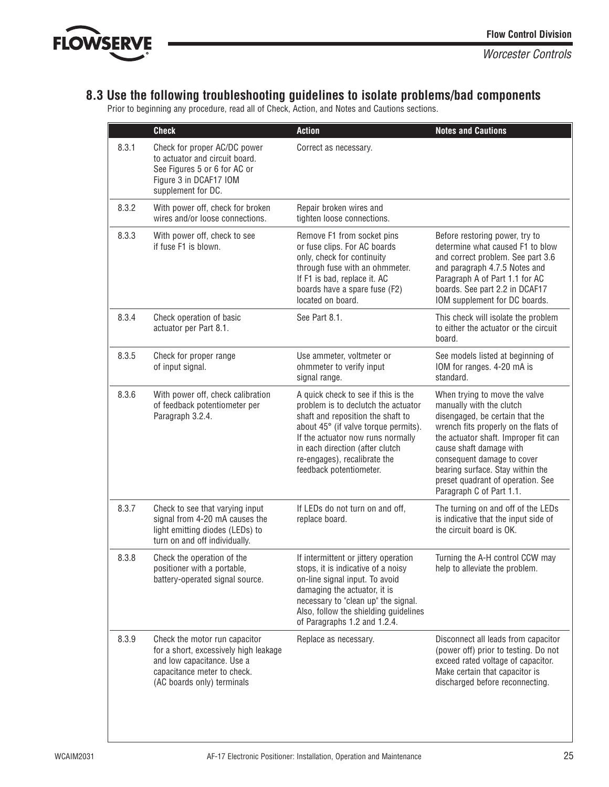![](_page_24_Picture_0.jpeg)

## **8.3 Use the following troubleshooting guidelines to isolate problems/bad components**

Prior to beginning any procedure, read all of Check, Action, and Notes and Cautions sections.

|       | <b>Check</b>                                                                                                                                                      | <b>Action</b>                                                                                                                                                                                                                                                                              | <b>Notes and Cautions</b>                                                                                                                                                                                                                                                                                                                  |
|-------|-------------------------------------------------------------------------------------------------------------------------------------------------------------------|--------------------------------------------------------------------------------------------------------------------------------------------------------------------------------------------------------------------------------------------------------------------------------------------|--------------------------------------------------------------------------------------------------------------------------------------------------------------------------------------------------------------------------------------------------------------------------------------------------------------------------------------------|
| 8.3.1 | Check for proper AC/DC power<br>to actuator and circuit board.<br>See Figures 5 or 6 for AC or<br>Figure 3 in DCAF17 IOM<br>supplement for DC.                    | Correct as necessary.                                                                                                                                                                                                                                                                      |                                                                                                                                                                                                                                                                                                                                            |
| 8.3.2 | With power off, check for broken<br>wires and/or loose connections.                                                                                               | Repair broken wires and<br>tighten loose connections.                                                                                                                                                                                                                                      |                                                                                                                                                                                                                                                                                                                                            |
| 8.3.3 | With power off, check to see<br>if fuse F1 is blown.                                                                                                              | Remove F1 from socket pins<br>or fuse clips. For AC boards<br>only, check for continuity<br>through fuse with an ohmmeter.<br>If F1 is bad, replace it. AC<br>boards have a spare fuse (F2)<br>located on board.                                                                           | Before restoring power, try to<br>determine what caused F1 to blow<br>and correct problem. See part 3.6<br>and paragraph 4.7.5 Notes and<br>Paragraph A of Part 1.1 for AC<br>boards. See part 2.2 in DCAF17<br>IOM supplement for DC boards.                                                                                              |
| 8.3.4 | Check operation of basic<br>actuator per Part 8.1.                                                                                                                | See Part 8.1.                                                                                                                                                                                                                                                                              | This check will isolate the problem<br>to either the actuator or the circuit<br>board.                                                                                                                                                                                                                                                     |
| 8.3.5 | Check for proper range<br>of input signal.                                                                                                                        | Use ammeter, voltmeter or<br>ohmmeter to verify input<br>signal range.                                                                                                                                                                                                                     | See models listed at beginning of<br>IOM for ranges. 4-20 mA is<br>standard.                                                                                                                                                                                                                                                               |
| 8.3.6 | With power off, check calibration<br>of feedback potentiometer per<br>Paragraph 3.2.4.                                                                            | A quick check to see if this is the<br>problem is to declutch the actuator<br>shaft and reposition the shaft to<br>about 45° (if valve torque permits).<br>If the actuator now runs normally<br>in each direction (after clutch<br>re-engages), recalibrate the<br>feedback potentiometer. | When trying to move the valve<br>manually with the clutch<br>disengaged, be certain that the<br>wrench fits properly on the flats of<br>the actuator shaft. Improper fit can<br>cause shaft damage with<br>consequent damage to cover<br>bearing surface. Stay within the<br>preset quadrant of operation. See<br>Paragraph C of Part 1.1. |
| 8.3.7 | Check to see that varying input<br>signal from 4-20 mA causes the<br>light emitting diodes (LEDs) to<br>turn on and off individually.                             | If LEDs do not turn on and off,<br>replace board.                                                                                                                                                                                                                                          | The turning on and off of the LEDs<br>is indicative that the input side of<br>the circuit board is OK.                                                                                                                                                                                                                                     |
| 8.3.8 | Check the operation of the<br>positioner with a portable,<br>battery-operated signal source.                                                                      | If intermittent or jittery operation<br>stops, it is indicative of a noisy<br>on-line signal input. To avoid<br>damaging the actuator, it is<br>necessary to "clean up" the signal.<br>Also, follow the shielding guidelines<br>of Paragraphs 1.2 and 1.2.4.                               | Turning the A-H control CCW may<br>help to alleviate the problem.                                                                                                                                                                                                                                                                          |
| 8.3.9 | Check the motor run capacitor<br>for a short, excessively high leakage<br>and low capacitance. Use a<br>capacitance meter to check.<br>(AC boards only) terminals | Replace as necessary.                                                                                                                                                                                                                                                                      | Disconnect all leads from capacitor<br>(power off) prior to testing. Do not<br>exceed rated voltage of capacitor.<br>Make certain that capacitor is<br>discharged before reconnecting.                                                                                                                                                     |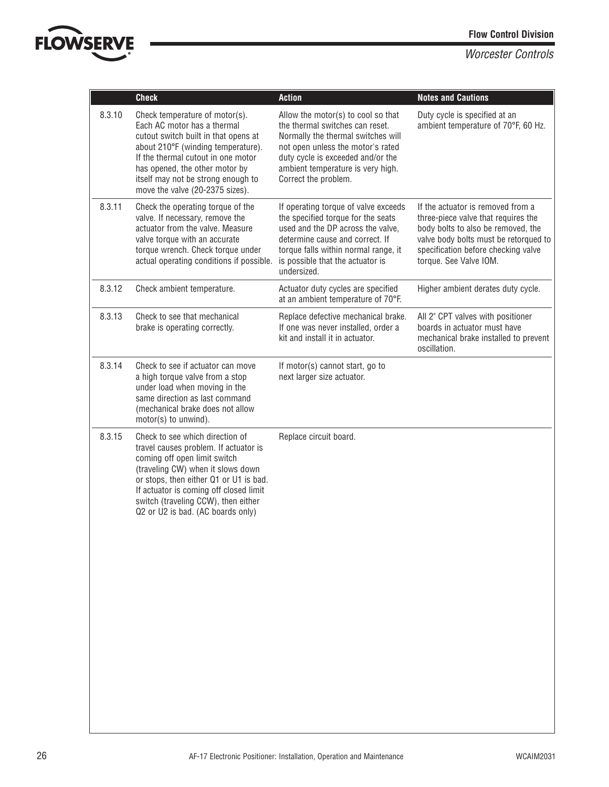![](_page_25_Picture_1.jpeg)

|        | <b>Check</b>                                                                                                                                                                                                                                                                                                  | <b>Action</b>                                                                                                                                                                                                                                      | <b>Notes and Cautions</b>                                                                                                                                                                                                |
|--------|---------------------------------------------------------------------------------------------------------------------------------------------------------------------------------------------------------------------------------------------------------------------------------------------------------------|----------------------------------------------------------------------------------------------------------------------------------------------------------------------------------------------------------------------------------------------------|--------------------------------------------------------------------------------------------------------------------------------------------------------------------------------------------------------------------------|
| 8.3.10 | Check temperature of motor(s).<br>Each AC motor has a thermal<br>cutout switch built in that opens at<br>about 210°F (winding temperature).<br>If the thermal cutout in one motor<br>has opened, the other motor by<br>itself may not be strong enough to<br>move the valve (20-2375 sizes).                  | Allow the motor(s) to cool so that<br>the thermal switches can reset.<br>Normally the thermal switches will<br>not open unless the motor's rated<br>duty cycle is exceeded and/or the<br>ambient temperature is very high.<br>Correct the problem. | Duty cycle is specified at an<br>ambient temperature of 70°F, 60 Hz.                                                                                                                                                     |
| 8.3.11 | Check the operating torque of the<br>valve. If necessary, remove the<br>actuator from the valve. Measure<br>valve torque with an accurate<br>torque wrench. Check torque under<br>actual operating conditions if possible.                                                                                    | If operating torque of valve exceeds<br>the specified torque for the seats<br>used and the DP across the valve,<br>determine cause and correct. If<br>torque falls within normal range, it<br>is possible that the actuator is<br>undersized.      | If the actuator is removed from a<br>three-piece valve that requires the<br>body bolts to also be removed, the<br>valve body bolts must be retorqued to<br>specification before checking valve<br>torque. See Valve IOM. |
| 8.3.12 | Check ambient temperature.                                                                                                                                                                                                                                                                                    | Actuator duty cycles are specified<br>at an ambient temperature of 70°F.                                                                                                                                                                           | Higher ambient derates duty cycle.                                                                                                                                                                                       |
| 8.3.13 | Check to see that mechanical<br>brake is operating correctly.                                                                                                                                                                                                                                                 | Replace defective mechanical brake.<br>If one was never installed, order a<br>kit and install it in actuator.                                                                                                                                      | All 2" CPT valves with positioner<br>boards in actuator must have<br>mechanical brake installed to prevent<br>oscillation.                                                                                               |
| 8.3.14 | Check to see if actuator can move<br>a high torque valve from a stop<br>under load when moving in the<br>same direction as last command<br>(mechanical brake does not allow<br>motor(s) to unwind).                                                                                                           | If motor(s) cannot start, go to<br>next larger size actuator.                                                                                                                                                                                      |                                                                                                                                                                                                                          |
| 8.3.15 | Check to see which direction of<br>travel causes problem. If actuator is<br>coming off open limit switch<br>(traveling CW) when it slows down<br>or stops, then either Q1 or U1 is bad.<br>If actuator is coming off closed limit<br>switch (traveling CCW), then either<br>Q2 or U2 is bad. (AC boards only) | Replace circuit board.                                                                                                                                                                                                                             |                                                                                                                                                                                                                          |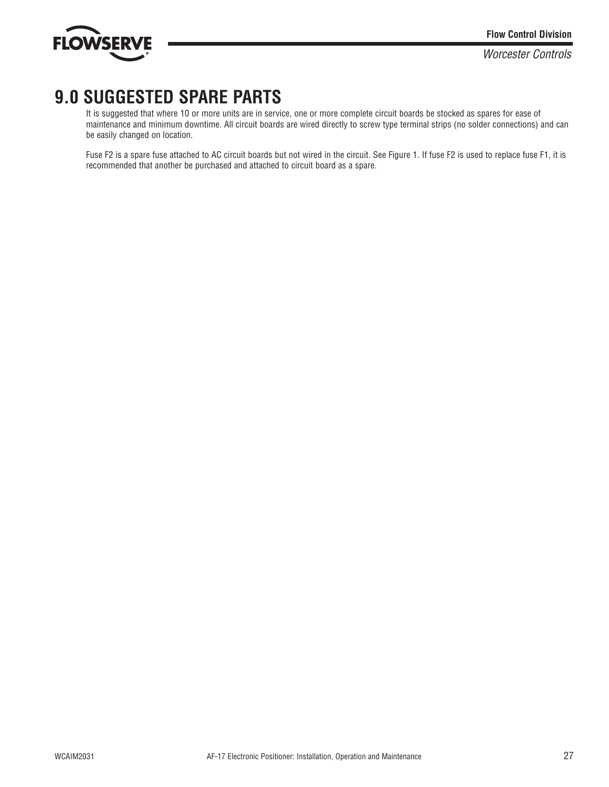![](_page_26_Picture_0.jpeg)

## **9.0 SUGGESTED SPARE PARTS**

It is suggested that where 10 or more units are in service, one or more complete circuit boards be stocked as spares for ease of maintenance and minimum downtime. All circuit boards are wired directly to screw type terminal strips (no solder connections) and can be easily changed on location.

Fuse F2 is a spare fuse attached to AC circuit boards but not wired in the circuit. See Figure 1. If fuse F2 is used to replace fuse F1, it is recommended that another be purchased and attached to circuit board as a spare.